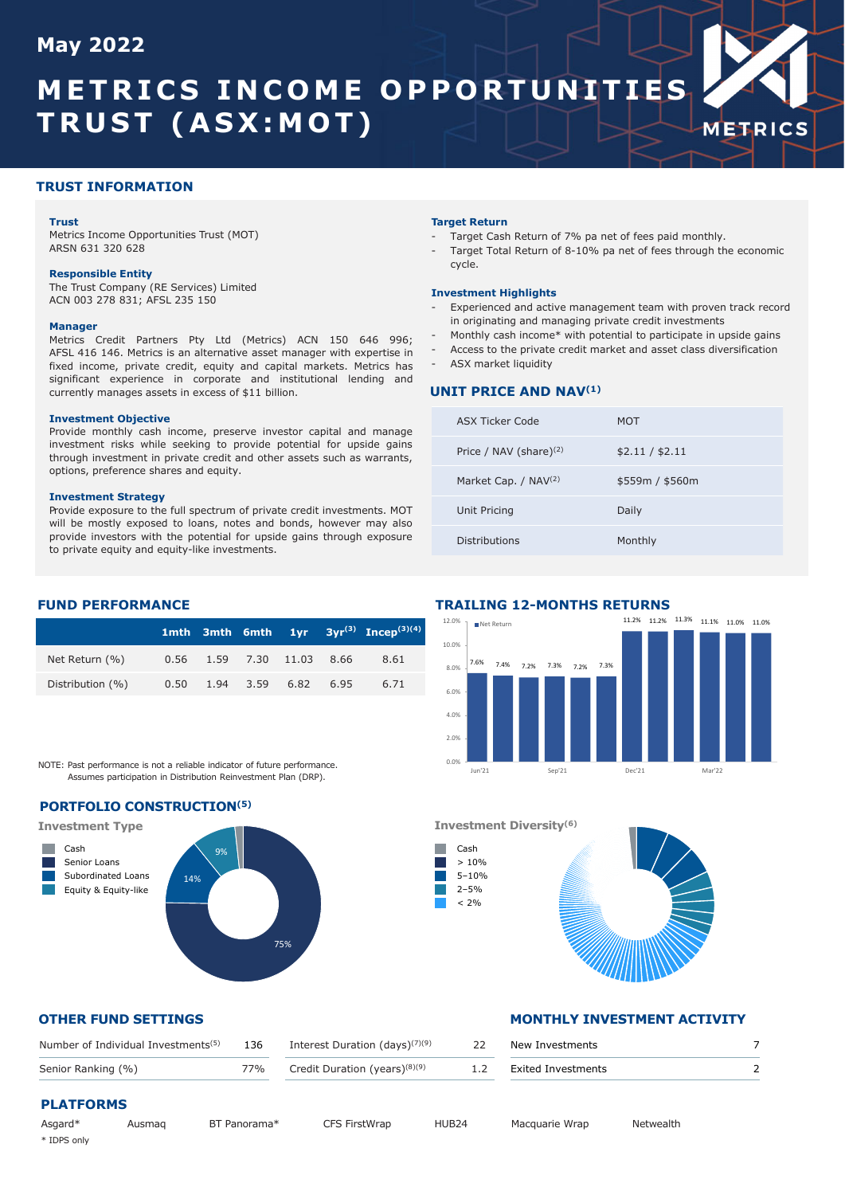# **May 2022**

# **METRICS INCOME OPPORTUNITIES TRUST (ASX:MOT)**



#### **Trust**

Metrics Income Opportunities Trust (MOT) ARSN 631 320 628

#### **Responsible Entity**

The Trust Company (RE Services) Limited ACN 003 278 831; AFSL 235 150

#### **Manager**

Metrics Credit Partners Pty Ltd (Metrics) ACN 150 646 996; AFSL 416 146. Metrics is an alternative asset manager with expertise in fixed income, private credit, equity and capital markets. Metrics has significant experience in corporate and institutional lending and currently manages assets in excess of \$11 billion.

#### **Investment Objective**

Provide monthly cash income, preserve investor capital and manage investment risks while seeking to provide potential for upside gains through investment in private credit and other assets such as warrants, options, preference shares and equity.

#### **Investment Strategy**

Provide exposure to the full spectrum of private credit investments. MOT will be mostly exposed to loans, notes and bonds, however may also provide investors with the potential for upside gains through exposure to private equity and equity-like investments.

#### **Target Return**

- Target Cash Return of 7% pa net of fees paid monthly.
- Target Total Return of 8-10% pa net of fees through the economic cycle.

**METRICS** 

#### **Investment Highlights**

- Experienced and active management team with proven track record in originating and managing private credit investments
- Monthly cash income\* with potential to participate in upside gains
- Access to the private credit market and asset class diversification
- ASX market liquidity

#### **UNIT PRICE AND NAV(1)**

| ASX Ticker Code                  | MOT             |
|----------------------------------|-----------------|
| Price / NAV (share) $(2)$        | \$2.11 / \$2.11 |
| Market Cap. / NAV <sup>(2)</sup> | \$559m / \$560m |
| Unit Pricing                     | Daily           |
| Distributions                    | Monthly         |

#### **FUND PERFORMANCE**

|                   |  |                            | 1mth 3mth 6mth $1yr$ 3yr <sup>(3)</sup> Incep <sup>(3)(4)</sup> |
|-------------------|--|----------------------------|-----------------------------------------------------------------|
| Net Return $(% )$ |  | 0.56 1.59 7.30 11.03 8.66  | 8.61                                                            |
| Distribution (%)  |  | $0.50$ 1.94 3.59 6.82 6.95 | 6.71                                                            |

NOTE: Past performance is not a reliable indicator of future performance. Assumes participation in Distribution Reinvestment Plan (DRP).

### **PORTFOLIO CONSTRUCTION(5)**



#### **TRAILING 12-MONTHS RETURNS**



#### **Investment Diversity(6)**



#### **OTHER FUND SETTINGS MONTHLY INVESTMENT ACTIVITY**

| New Investments           |  |
|---------------------------|--|
| <b>Exited Investments</b> |  |

| Number of Individual Investments <sup>(5)</sup> | 136 Interest Duration (days) $(7)(9)$ | 22 | New Investments        |  |
|-------------------------------------------------|---------------------------------------|----|------------------------|--|
| Senior Ranking (%)                              | 77% Credit Duration (years) $(8)(9)$  |    | 1.2 Exited Investments |  |

# **PLATFORMS**

| Asgard*     | Ausmag |  |
|-------------|--------|--|
| * IDPS only |        |  |

BT Panorama\* CFS FirstWrap HUB24 Macquarie Wrap Netwealth